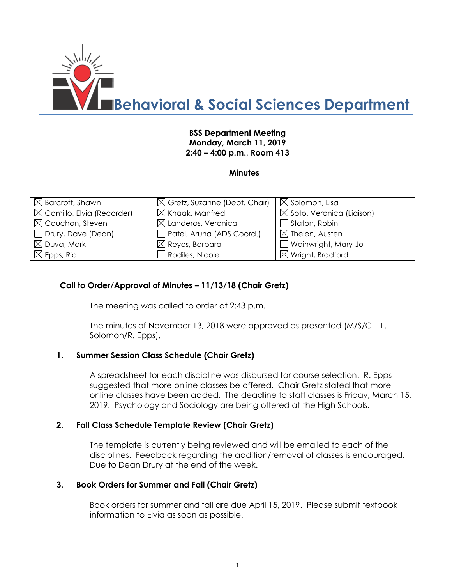

## **BSS Department Meeting Monday, March 11, 2019 2:40 – 4:00 p.m., Room 413**

### **Minutes**

| $\boxtimes$ Barcroft, Shawn           | $\boxtimes$ Gretz, Suzanne (Dept. Chair) | $\boxtimes$ Solomon, Lisa            |
|---------------------------------------|------------------------------------------|--------------------------------------|
| $\boxtimes$ Camillo, Elvia (Recorder) | $\boxtimes$ Knaak, Manfred               | $\boxtimes$ Soto, Veronica (Liaison) |
| $\boxtimes$ Cauchon, Steven           | $\boxtimes$ Landeros, Veronica           | $\Box$ Staton, Robin                 |
| Drury, Dave (Dean)                    | Patel, Aruna (ADS Coord.)                | $\boxtimes$ Thelen, Austen           |
| $\boxtimes$ Duva, Mark                | $\boxtimes$ Reyes, Barbara               | Wainwright, Mary-Jo                  |
| $\boxtimes$ Epps, Ric                 | Rodiles, Nicole                          | $\boxtimes$ Wright, Bradford         |

### **Call to Order/Approval of Minutes – 11/13/18 (Chair Gretz)**

The meeting was called to order at 2:43 p.m.

The minutes of November 13, 2018 were approved as presented (M/S/C – L. Solomon/R. Epps).

### **1. Summer Session Class Schedule (Chair Gretz)**

A spreadsheet for each discipline was disbursed for course selection. R. Epps suggested that more online classes be offered. Chair Gretz stated that more online classes have been added. The deadline to staff classes is Friday, March 15, 2019. Psychology and Sociology are being offered at the High Schools.

### **2. Fall Class Schedule Template Review (Chair Gretz)**

The template is currently being reviewed and will be emailed to each of the disciplines. Feedback regarding the addition/removal of classes is encouraged. Due to Dean Drury at the end of the week.

### **3. Book Orders for Summer and Fall (Chair Gretz)**

Book orders for summer and fall are due April 15, 2019. Please submit textbook information to Elvia as soon as possible.